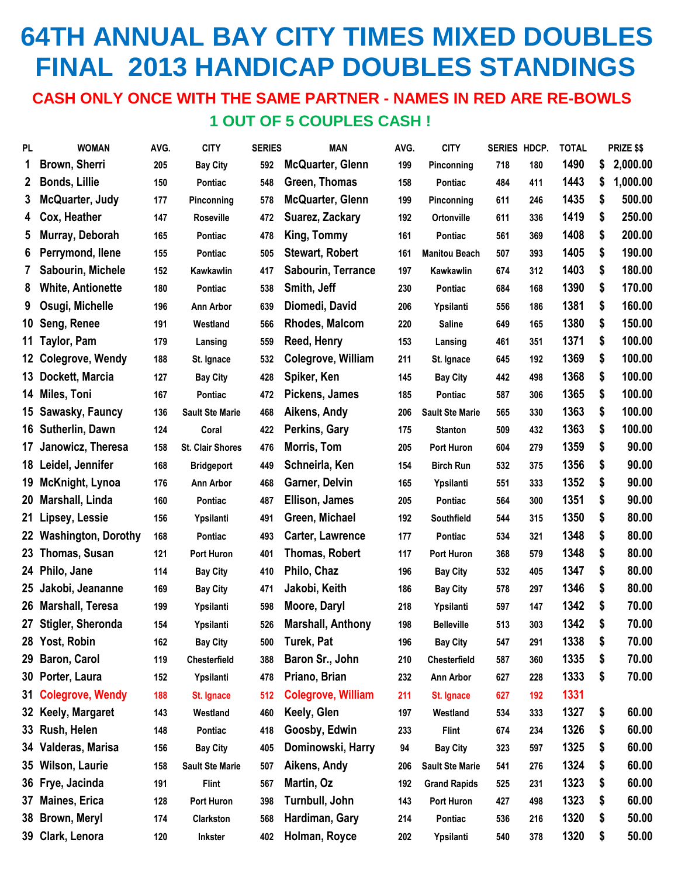# **64TH ANNUAL BAY CITY TIMES MIXED DOUBLES FINAL 2013 HANDICAP DOUBLES STANDINGS**

#### **CASH ONLY ONCE WITH THE SAME PARTNER - NAMES IN RED ARE RE-BOWLS 1 OUT OF 5 COUPLES CASH !**

| <b>PL</b>    | <b>WOMAN</b>               | AVG. | <b>CITY</b>             | <b>SERIES</b> | <b>MAN</b>                | AVG. | <b>CITY</b>            | SERIES HDCP. |     | <b>TOTAL</b> | PRIZE \$\$     |
|--------------|----------------------------|------|-------------------------|---------------|---------------------------|------|------------------------|--------------|-----|--------------|----------------|
| 1            | Brown, Sherri              | 205  | <b>Bay City</b>         | 592           | <b>McQuarter, Glenn</b>   | 199  | Pinconning             | 718          | 180 | 1490         | \$<br>2,000.00 |
| $\mathbf{2}$ | <b>Bonds, Lillie</b>       | 150  | Pontiac                 | 548           | Green, Thomas             | 158  | Pontiac                | 484          | 411 | 1443         | \$<br>1,000.00 |
| 3            | McQuarter, Judy            | 177  | Pinconning              | 578           | McQuarter, Glenn          | 199  | Pinconning             | 611          | 246 | 1435         | \$<br>500.00   |
| 4            | Cox, Heather               | 147  | <b>Roseville</b>        | 472           | Suarez, Zackary           | 192  | Ortonville             | 611          | 336 | 1419         | \$<br>250.00   |
| 5            | Murray, Deborah            | 165  | Pontiac                 | 478           | King, Tommy               | 161  | Pontiac                | 561          | 369 | 1408         | \$<br>200.00   |
| 6            | Perrymond, Ilene           | 155  | Pontiac                 | 505           | <b>Stewart, Robert</b>    | 161  | <b>Manitou Beach</b>   | 507          | 393 | 1405         | \$<br>190.00   |
| 7            | Sabourin, Michele          | 152  | <b>Kawkawlin</b>        | 417           | Sabourin, Terrance        | 197  | Kawkawlin              | 674          | 312 | 1403         | \$<br>180.00   |
| 8            | <b>White, Antionette</b>   | 180  | Pontiac                 | 538           | Smith, Jeff               | 230  | Pontiac                | 684          | 168 | 1390         | \$<br>170.00   |
| 9            | Osugi, Michelle            | 196  | <b>Ann Arbor</b>        | 639           | Diomedi, David            | 206  | Ypsilanti              | 556          | 186 | 1381         | \$<br>160.00   |
| 10           | Seng, Renee                | 191  | Westland                | 566           | Rhodes, Malcom            | 220  | <b>Saline</b>          | 649          | 165 | 1380         | \$<br>150.00   |
| 11           | Taylor, Pam                | 179  | Lansing                 | 559           | Reed, Henry               | 153  | Lansing                | 461          | 351 | 1371         | \$<br>100.00   |
|              | 12 Colegrove, Wendy        | 188  | St. Ignace              | 532           | Colegrove, William        | 211  | St. Ignace             | 645          | 192 | 1369         | \$<br>100.00   |
|              | 13 Dockett, Marcia         | 127  | <b>Bay City</b>         | 428           | Spiker, Ken               | 145  | <b>Bay City</b>        | 442          | 498 | 1368         | \$<br>100.00   |
|              | 14 Miles, Toni             | 167  | Pontiac                 | 472           | Pickens, James            | 185  | Pontiac                | 587          | 306 | 1365         | \$<br>100.00   |
|              | 15 Sawasky, Fauncy         | 136  | <b>Sault Ste Marie</b>  | 468           | Aikens, Andy              | 206  | <b>Sault Ste Marie</b> | 565          | 330 | 1363         | \$<br>100.00   |
|              | 16 Sutherlin, Dawn         | 124  | Coral                   | 422           | Perkins, Gary             | 175  | <b>Stanton</b>         | 509          | 432 | 1363         | \$<br>100.00   |
| 17           | Janowicz, Theresa          | 158  | <b>St. Clair Shores</b> | 476           | Morris, Tom               | 205  | Port Huron             | 604          | 279 | 1359         | \$<br>90.00    |
|              | 18 Leidel, Jennifer        | 168  | <b>Bridgeport</b>       | 449           | Schneirla, Ken            | 154  | <b>Birch Run</b>       | 532          | 375 | 1356         | \$<br>90.00    |
| 19           | <b>McKnight, Lynoa</b>     | 176  | <b>Ann Arbor</b>        | 468           | Garner, Delvin            | 165  | Ypsilanti              | 551          | 333 | 1352         | \$<br>90.00    |
| 20           | Marshall, Linda            | 160  | <b>Pontiac</b>          | 487           | <b>Ellison, James</b>     | 205  | Pontiac                | 564          | 300 | 1351         | \$<br>90.00    |
| 21           | Lipsey, Lessie             | 156  | Ypsilanti               | 491           | Green, Michael            | 192  | Southfield             | 544          | 315 | 1350         | \$<br>80.00    |
| 22           | <b>Washington, Dorothy</b> | 168  | <b>Pontiac</b>          | 493           | <b>Carter, Lawrence</b>   | 177  | Pontiac                | 534          | 321 | 1348         | \$<br>80.00    |
| 23           | Thomas, Susan              | 121  | <b>Port Huron</b>       | 401           | Thomas, Robert            | 117  | Port Huron             | 368          | 579 | 1348         | \$<br>80.00    |
|              | 24 Philo, Jane             | 114  | <b>Bay City</b>         | 410           | Philo, Chaz               | 196  | <b>Bay City</b>        | 532          | 405 | 1347         | \$<br>80.00    |
| 25           | Jakobi, Jeananne           | 169  | <b>Bay City</b>         | 471           | Jakobi, Keith             | 186  | <b>Bay City</b>        | 578          | 297 | 1346         | \$<br>80.00    |
|              | 26 Marshall, Teresa        | 199  | Ypsilanti               | 598           | Moore, Daryl              | 218  | Ypsilanti              | 597          | 147 | 1342         | \$<br>70.00    |
|              | 27 Stigler, Sheronda       | 154  | Ypsilanti               | 526           | <b>Marshall, Anthony</b>  | 198  | <b>Belleville</b>      | 513          | 303 | 1342         | \$<br>70.00    |
| 28           | Yost, Robin                | 162  | <b>Bay City</b>         | 500           | <b>Turek, Pat</b>         | 196  | <b>Bay City</b>        | 547          | 291 | 1338         | \$<br>70.00    |
| 29           | <b>Baron, Carol</b>        | 119  | Chesterfield            | 388           | Baron Sr., John           | 210  | Chesterfield           | 587          | 360 | 1335         | \$<br>70.00    |
|              | 30 Porter, Laura           | 152  | Ypsilanti               | 478           | Priano, Brian             | 232  | Ann Arbor              | 627          | 228 | 1333         | \$<br>70.00    |
| 31           | <b>Colegrove, Wendy</b>    | 188  | St. Ignace              | 512           | <b>Colegrove, William</b> | 211  | St. Ignace             | 627          | 192 | 1331         |                |
|              | 32 Keely, Margaret         | 143  | Westland                | 460           | Keely, Glen               | 197  | Westland               | 534          | 333 | 1327         | \$<br>60.00    |
|              | 33 Rush, Helen             | 148  | Pontiac                 | 418           | Goosby, Edwin             | 233  | <b>Flint</b>           | 674          | 234 | 1326         | \$<br>60.00    |
|              | 34 Valderas, Marisa        | 156  | <b>Bay City</b>         | 405           | Dominowski, Harry         | 94   | <b>Bay City</b>        | 323          | 597 | 1325         | \$<br>60.00    |
| 35           | <b>Wilson, Laurie</b>      | 158  | <b>Sault Ste Marie</b>  | 507           | Aikens, Andy              | 206  | <b>Sault Ste Marie</b> | 541          | 276 | 1324         | \$<br>60.00    |
|              | 36 Frye, Jacinda           | 191  | <b>Flint</b>            | 567           | Martin, Oz                | 192  | <b>Grand Rapids</b>    | 525          | 231 | 1323         | \$<br>60.00    |
| 37           | <b>Maines, Erica</b>       | 128  | Port Huron              | 398           | Turnbull, John            | 143  | Port Huron             | 427          | 498 | 1323         | \$<br>60.00    |
| 38           | <b>Brown, Meryl</b>        | 174  | Clarkston               | 568           | Hardiman, Gary            | 214  | Pontiac                | 536          | 216 | 1320         | \$<br>50.00    |
|              | 39 Clark, Lenora           | 120  | <b>Inkster</b>          | 402           | Holman, Royce             | 202  | Ypsilanti              | 540          | 378 | 1320         | \$<br>50.00    |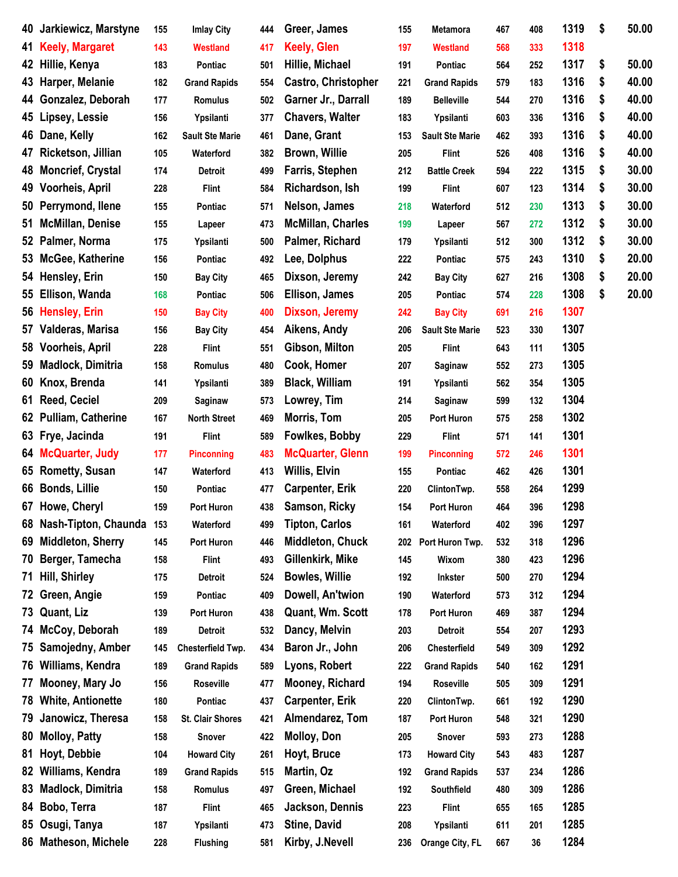| 40 | Jarkiewicz, Marstyne      | 155 | <b>Imlay City</b>       | 444 | Greer, James               | 155 | <b>Metamora</b>        | 467 | 408 | 1319 | \$<br>50.00 |
|----|---------------------------|-----|-------------------------|-----|----------------------------|-----|------------------------|-----|-----|------|-------------|
| 41 | <b>Keely, Margaret</b>    | 143 | <b>Westland</b>         | 417 | <b>Keely, Glen</b>         | 197 | <b>Westland</b>        | 568 | 333 | 1318 |             |
| 42 | Hillie, Kenya             | 183 | Pontiac                 | 501 | Hillie, Michael            | 191 | Pontiac                | 564 | 252 | 1317 | \$<br>50.00 |
| 43 | Harper, Melanie           | 182 | <b>Grand Rapids</b>     | 554 | <b>Castro, Christopher</b> | 221 | <b>Grand Rapids</b>    | 579 | 183 | 1316 | \$<br>40.00 |
| 44 | Gonzalez, Deborah         | 177 | Romulus                 | 502 | Garner Jr., Darrall        | 189 | <b>Belleville</b>      | 544 | 270 | 1316 | \$<br>40.00 |
| 45 | Lipsey, Lessie            | 156 | Ypsilanti               | 377 | <b>Chavers, Walter</b>     | 183 | Ypsilanti              | 603 | 336 | 1316 | \$<br>40.00 |
| 46 | Dane, Kelly               | 162 | <b>Sault Ste Marie</b>  | 461 | Dane, Grant                | 153 | <b>Sault Ste Marie</b> | 462 | 393 | 1316 | \$<br>40.00 |
| 47 | Ricketson, Jillian        | 105 | Waterford               | 382 | <b>Brown, Willie</b>       | 205 | <b>Flint</b>           | 526 | 408 | 1316 | \$<br>40.00 |
| 48 | <b>Moncrief, Crystal</b>  | 174 | <b>Detroit</b>          | 499 | Farris, Stephen            | 212 | <b>Battle Creek</b>    | 594 | 222 | 1315 | \$<br>30.00 |
| 49 | Voorheis, April           | 228 | <b>Flint</b>            | 584 | Richardson, Ish            | 199 | <b>Flint</b>           | 607 | 123 | 1314 | \$<br>30.00 |
| 50 | Perrymond, Ilene          | 155 | Pontiac                 | 571 | Nelson, James              | 218 | Waterford              | 512 | 230 | 1313 | \$<br>30.00 |
| 51 | <b>McMillan, Denise</b>   | 155 | Lapeer                  | 473 | <b>McMillan, Charles</b>   | 199 | Lapeer                 | 567 | 272 | 1312 | \$<br>30.00 |
| 52 | Palmer, Norma             | 175 | Ypsilanti               | 500 | Palmer, Richard            | 179 | Ypsilanti              | 512 | 300 | 1312 | \$<br>30.00 |
| 53 | McGee, Katherine          | 156 | Pontiac                 | 492 | Lee, Dolphus               | 222 | Pontiac                | 575 | 243 | 1310 | \$<br>20.00 |
| 54 | Hensley, Erin             | 150 | <b>Bay City</b>         | 465 | Dixson, Jeremy             | 242 | <b>Bay City</b>        | 627 | 216 | 1308 | \$<br>20.00 |
| 55 | Ellison, Wanda            | 168 | Pontiac                 | 506 | <b>Ellison, James</b>      | 205 | Pontiac                | 574 | 228 | 1308 | \$<br>20.00 |
| 56 | <b>Hensley, Erin</b>      | 150 | <b>Bay City</b>         | 400 | Dixson, Jeremy             | 242 | <b>Bay City</b>        | 691 | 216 | 1307 |             |
| 57 | Valderas, Marisa          | 156 | <b>Bay City</b>         | 454 | Aikens, Andy               | 206 | <b>Sault Ste Marie</b> | 523 | 330 | 1307 |             |
| 58 | Voorheis, April           | 228 | <b>Flint</b>            | 551 | Gibson, Milton             | 205 | <b>Flint</b>           | 643 | 111 | 1305 |             |
| 59 | Madlock, Dimitria         | 158 | <b>Romulus</b>          | 480 | Cook, Homer                | 207 | Saginaw                | 552 | 273 | 1305 |             |
| 60 | Knox, Brenda              | 141 | Ypsilanti               | 389 | <b>Black, William</b>      | 191 | Ypsilanti              | 562 | 354 | 1305 |             |
| 61 | <b>Reed, Ceciel</b>       | 209 | Saginaw                 | 573 | Lowrey, Tim                | 214 | Saginaw                | 599 | 132 | 1304 |             |
| 62 | <b>Pulliam, Catherine</b> | 167 | <b>North Street</b>     | 469 | Morris, Tom                | 205 | Port Huron             | 575 | 258 | 1302 |             |
| 63 | Frye, Jacinda             | 191 | <b>Flint</b>            | 589 | Fowlkes, Bobby             | 229 | <b>Flint</b>           | 571 | 141 | 1301 |             |
| 64 | <b>McQuarter, Judy</b>    | 177 | <b>Pinconning</b>       | 483 | <b>McQuarter, Glenn</b>    | 199 | <b>Pinconning</b>      | 572 | 246 | 1301 |             |
| 65 | <b>Rometty, Susan</b>     | 147 | Waterford               | 413 | Willis, Elvin              | 155 | Pontiac                | 462 | 426 | 1301 |             |
| 66 | <b>Bonds, Lillie</b>      | 150 | Pontiac                 | 477 | <b>Carpenter, Erik</b>     | 220 | ClintonTwp.            | 558 | 264 | 1299 |             |
| 67 | Howe, Cheryl              | 159 | Port Huron              | 438 | Samson, Ricky              | 154 | Port Huron             | 464 | 396 | 1298 |             |
| 68 | Nash-Tipton, Chaunda 153  |     | Waterford               | 499 | <b>Tipton, Carlos</b>      | 161 | Waterford              | 402 | 396 | 1297 |             |
| 69 | Middleton, Sherry         | 145 | Port Huron              | 446 | <b>Middleton, Chuck</b>    | 202 | Port Huron Twp.        | 532 | 318 | 1296 |             |
| 70 | Berger, Tamecha           | 158 | <b>Flint</b>            | 493 | Gillenkirk, Mike           | 145 | Wixom                  | 380 | 423 | 1296 |             |
| 71 | Hill, Shirley             | 175 | <b>Detroit</b>          | 524 | <b>Bowles, Willie</b>      | 192 | <b>Inkster</b>         | 500 | 270 | 1294 |             |
| 72 | Green, Angie              | 159 | Pontiac                 | 409 | Dowell, An'twion           | 190 | Waterford              | 573 | 312 | 1294 |             |
| 73 | Quant, Liz                | 139 | Port Huron              | 438 | Quant, Wm. Scott           | 178 | Port Huron             | 469 | 387 | 1294 |             |
| 74 | McCoy, Deborah            | 189 | Detroit                 | 532 | Dancy, Melvin              | 203 | Detroit                | 554 | 207 | 1293 |             |
| 75 | Samojedny, Amber          | 145 | Chesterfield Twp.       | 434 | Baron Jr., John            | 206 | <b>Chesterfield</b>    | 549 | 309 | 1292 |             |
| 76 | Williams, Kendra          | 189 | <b>Grand Rapids</b>     | 589 | Lyons, Robert              | 222 | <b>Grand Rapids</b>    | 540 | 162 | 1291 |             |
| 77 | Mooney, Mary Jo           | 156 | Roseville               | 477 | Mooney, Richard            | 194 | Roseville              | 505 | 309 | 1291 |             |
| 78 | <b>White, Antionette</b>  | 180 | Pontiac                 | 437 | <b>Carpenter, Erik</b>     | 220 | ClintonTwp.            | 661 | 192 | 1290 |             |
| 79 | Janowicz, Theresa         | 158 | <b>St. Clair Shores</b> | 421 | Almendarez, Tom            | 187 | Port Huron             | 548 | 321 | 1290 |             |
| 80 | <b>Molloy, Patty</b>      | 158 | <b>Snover</b>           | 422 | Molloy, Don                | 205 | Snover                 | 593 | 273 | 1288 |             |
| 81 | Hoyt, Debbie              | 104 | <b>Howard City</b>      | 261 | Hoyt, Bruce                | 173 | <b>Howard City</b>     | 543 | 483 | 1287 |             |
| 82 | Williams, Kendra          | 189 | <b>Grand Rapids</b>     | 515 | Martin, Oz                 | 192 | <b>Grand Rapids</b>    | 537 | 234 | 1286 |             |
| 83 | Madlock, Dimitria         | 158 | Romulus                 | 497 | Green, Michael             | 192 | Southfield             | 480 | 309 | 1286 |             |
| 84 | Bobo, Terra               | 187 | <b>Flint</b>            | 465 | Jackson, Dennis            | 223 | <b>Flint</b>           | 655 | 165 | 1285 |             |
| 85 | Osugi, Tanya              | 187 | Ypsilanti               | 473 | Stine, David               | 208 | Ypsilanti              | 611 | 201 | 1285 |             |
| 86 | <b>Matheson, Michele</b>  | 228 | <b>Flushing</b>         | 581 | Kirby, J.Nevell            | 236 | Orange City, FL        | 667 | 36  | 1284 |             |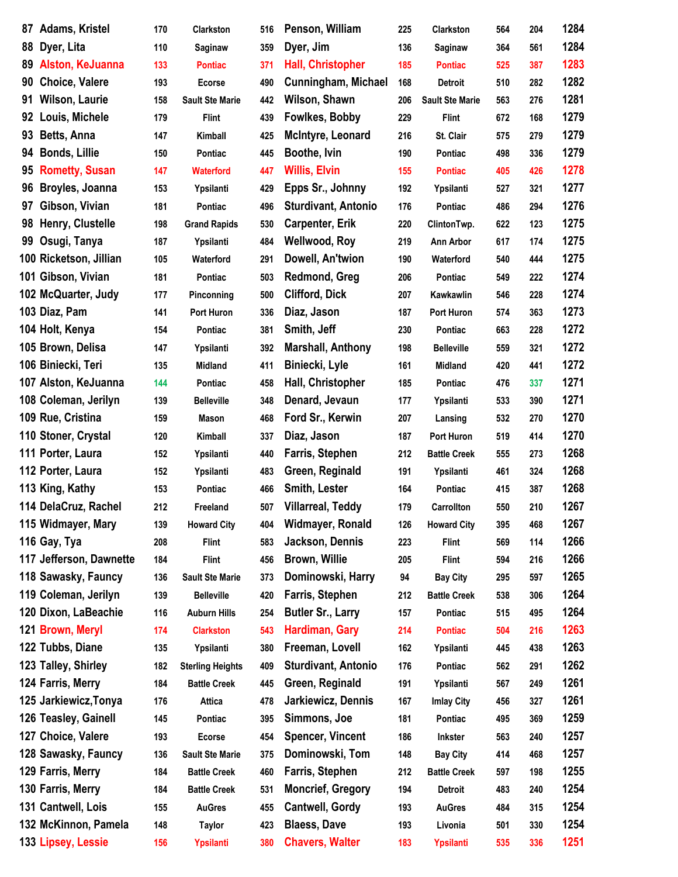| 87 | Adams, Kristel          | 170 | <b>Clarkston</b>        | 516 | Penson, William            | 225 | Clarkston              | 564 | 204 | 1284 |
|----|-------------------------|-----|-------------------------|-----|----------------------------|-----|------------------------|-----|-----|------|
| 88 | Dyer, Lita              | 110 | Saginaw                 | 359 | Dyer, Jim                  | 136 | Saginaw                | 364 | 561 | 1284 |
| 89 | Alston, KeJuanna        | 133 | <b>Pontiac</b>          | 371 | Hall, Christopher          | 185 | <b>Pontiac</b>         | 525 | 387 | 1283 |
| 90 | <b>Choice, Valere</b>   | 193 | <b>Ecorse</b>           | 490 | <b>Cunningham, Michael</b> | 168 | <b>Detroit</b>         | 510 | 282 | 1282 |
| 91 | <b>Wilson, Laurie</b>   | 158 | <b>Sault Ste Marie</b>  | 442 | Wilson, Shawn              | 206 | <b>Sault Ste Marie</b> | 563 | 276 | 1281 |
| 92 | Louis, Michele          | 179 | <b>Flint</b>            | 439 | <b>Fowlkes, Bobby</b>      | 229 | <b>Flint</b>           | 672 | 168 | 1279 |
| 93 | Betts, Anna             | 147 | <b>Kimball</b>          | 425 | McIntyre, Leonard          | 216 | St. Clair              | 575 | 279 | 1279 |
| 94 | <b>Bonds, Lillie</b>    | 150 | Pontiac                 | 445 | Boothe, Ivin               | 190 | <b>Pontiac</b>         | 498 | 336 | 1279 |
| 95 | <b>Rometty, Susan</b>   | 147 | <b>Waterford</b>        | 447 | <b>Willis, Elvin</b>       | 155 | <b>Pontiac</b>         | 405 | 426 | 1278 |
| 96 | Broyles, Joanna         | 153 | Ypsilanti               | 429 | Epps Sr., Johnny           | 192 | Ypsilanti              | 527 | 321 | 1277 |
| 97 | Gibson, Vivian          | 181 | Pontiac                 | 496 | <b>Sturdivant, Antonio</b> | 176 | Pontiac                | 486 | 294 | 1276 |
| 98 | Henry, Clustelle        | 198 | <b>Grand Rapids</b>     | 530 | <b>Carpenter, Erik</b>     | 220 | ClintonTwp.            | 622 | 123 | 1275 |
| 99 | Osugi, Tanya            | 187 | Ypsilanti               | 484 | <b>Wellwood, Roy</b>       | 219 | Ann Arbor              | 617 | 174 | 1275 |
|    | 100 Ricketson, Jillian  | 105 | Waterford               | 291 | Dowell, An'twion           | 190 | Waterford              | 540 | 444 | 1275 |
|    | 101 Gibson, Vivian      | 181 | Pontiac                 | 503 | Redmond, Greg              | 206 | Pontiac                | 549 | 222 | 1274 |
|    | 102 McQuarter, Judy     | 177 | Pinconning              | 500 | <b>Clifford, Dick</b>      | 207 | Kawkawlin              | 546 | 228 | 1274 |
|    | 103 Diaz, Pam           | 141 | Port Huron              | 336 | Diaz, Jason                | 187 | Port Huron             | 574 | 363 | 1273 |
|    | 104 Holt, Kenya         | 154 | Pontiac                 | 381 | Smith, Jeff                | 230 | Pontiac                | 663 | 228 | 1272 |
|    | 105 Brown, Delisa       | 147 | Ypsilanti               | 392 | <b>Marshall, Anthony</b>   | 198 | <b>Belleville</b>      | 559 | 321 | 1272 |
|    | 106 Biniecki, Teri      | 135 | Midland                 | 411 | Biniecki, Lyle             | 161 | Midland                | 420 | 441 | 1272 |
|    | 107 Alston, KeJuanna    | 144 | Pontiac                 | 458 | Hall, Christopher          | 185 | Pontiac                | 476 | 337 | 1271 |
|    | 108 Coleman, Jerilyn    | 139 | <b>Belleville</b>       | 348 | Denard, Jevaun             | 177 | Ypsilanti              | 533 | 390 | 1271 |
|    | 109 Rue, Cristina       | 159 | Mason                   | 468 | Ford Sr., Kerwin           | 207 | Lansing                | 532 | 270 | 1270 |
|    | 110 Stoner, Crystal     | 120 | Kimball                 | 337 | Diaz, Jason                | 187 | Port Huron             | 519 | 414 | 1270 |
|    | 111 Porter, Laura       | 152 | Ypsilanti               | 440 | Farris, Stephen            | 212 | <b>Battle Creek</b>    | 555 | 273 | 1268 |
|    | 112 Porter, Laura       | 152 | Ypsilanti               | 483 | Green, Reginald            | 191 | Ypsilanti              | 461 | 324 | 1268 |
|    | 113 King, Kathy         | 153 | Pontiac                 | 466 | Smith, Lester              | 164 | Pontiac                | 415 | 387 | 1268 |
|    | 114 DelaCruz, Rachel    | 212 | Freeland                | 507 | <b>Villarreal, Teddy</b>   | 179 | Carrollton             | 550 | 210 | 1267 |
|    | 115 Widmayer, Mary      | 139 | <b>Howard City</b>      | 404 | Widmayer, Ronald           | 126 | <b>Howard City</b>     | 395 | 468 | 1267 |
|    | 116 Gay, Tya            | 208 | <b>Flint</b>            | 583 | Jackson, Dennis            | 223 | <b>Flint</b>           | 569 | 114 | 1266 |
|    | 117 Jefferson, Dawnette | 184 | <b>Flint</b>            | 456 | <b>Brown, Willie</b>       | 205 | <b>Flint</b>           | 594 | 216 | 1266 |
|    | 118 Sawasky, Fauncy     | 136 | <b>Sault Ste Marie</b>  | 373 | Dominowski, Harry          | 94  | <b>Bay City</b>        | 295 | 597 | 1265 |
|    | 119 Coleman, Jerilyn    | 139 | <b>Belleville</b>       | 420 | Farris, Stephen            | 212 | <b>Battle Creek</b>    | 538 | 306 | 1264 |
|    | 120 Dixon, LaBeachie    | 116 | <b>Auburn Hills</b>     | 254 | <b>Butler Sr., Larry</b>   | 157 | Pontiac                | 515 | 495 | 1264 |
|    | 121 Brown, Meryl        | 174 | <b>Clarkston</b>        | 543 | Hardiman, Gary             | 214 | <b>Pontiac</b>         | 504 | 216 | 1263 |
|    | 122 Tubbs, Diane        | 135 | Ypsilanti               | 380 | Freeman, Lovell            | 162 | Ypsilanti              | 445 | 438 | 1263 |
|    | 123 Talley, Shirley     | 182 | <b>Sterling Heights</b> | 409 | <b>Sturdivant, Antonio</b> | 176 | Pontiac                | 562 | 291 | 1262 |
|    | 124 Farris, Merry       | 184 | <b>Battle Creek</b>     | 445 | Green, Reginald            | 191 | Ypsilanti              | 567 | 249 | 1261 |
|    | 125 Jarkiewicz, Tonya   | 176 | <b>Attica</b>           | 478 | Jarkiewicz, Dennis         | 167 | <b>Imlay City</b>      | 456 | 327 | 1261 |
|    | 126 Teasley, Gainell    | 145 | Pontiac                 | 395 | Simmons, Joe               | 181 | Pontiac                | 495 | 369 | 1259 |
|    | 127 Choice, Valere      | 193 | <b>Ecorse</b>           | 454 | <b>Spencer, Vincent</b>    | 186 | Inkster                | 563 | 240 | 1257 |
|    | 128 Sawasky, Fauncy     | 136 | <b>Sault Ste Marie</b>  | 375 | Dominowski, Tom            | 148 | <b>Bay City</b>        | 414 | 468 | 1257 |
|    | 129 Farris, Merry       | 184 | <b>Battle Creek</b>     | 460 | Farris, Stephen            | 212 | <b>Battle Creek</b>    | 597 | 198 | 1255 |
|    | 130 Farris, Merry       | 184 | <b>Battle Creek</b>     | 531 | <b>Moncrief, Gregory</b>   | 194 | <b>Detroit</b>         | 483 | 240 | 1254 |
|    | 131 Cantwell, Lois      |     |                         |     | <b>Cantwell, Gordy</b>     |     |                        |     |     | 1254 |
|    |                         | 155 | <b>AuGres</b>           | 455 |                            | 193 | <b>AuGres</b>          | 484 | 315 |      |
|    | 132 McKinnon, Pamela    | 148 | <b>Taylor</b>           | 423 | <b>Blaess, Dave</b>        | 193 | Livonia                | 501 | 330 | 1254 |
|    | 133 Lipsey, Lessie      | 156 | Ypsilanti               | 380 | <b>Chavers, Walter</b>     | 183 | Ypsilanti              | 535 | 336 | 1251 |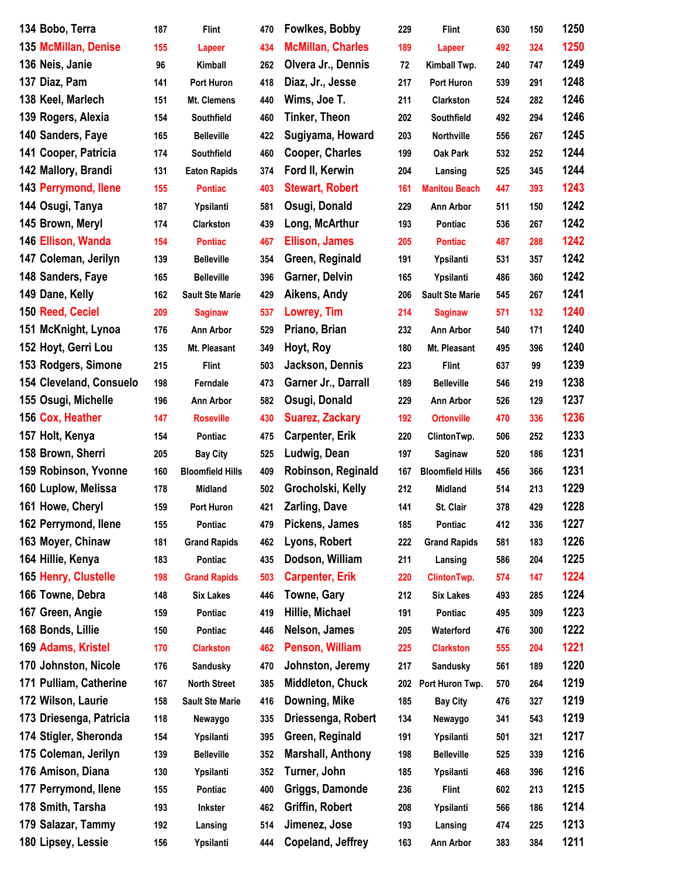| 134 Bobo, Terra         | 187 | <b>Flint</b>            | 470 | <b>Fowlkes, Bobby</b>    | 229 | <b>Flint</b>            | 630 | 150 | 1250 |
|-------------------------|-----|-------------------------|-----|--------------------------|-----|-------------------------|-----|-----|------|
| 135 McMillan, Denise    | 155 | Lapeer                  | 434 | <b>McMillan, Charles</b> | 189 | Lapeer                  | 492 | 324 | 1250 |
| 136 Neis, Janie         | 96  | Kimball                 | 262 | Olvera Jr., Dennis       | 72  | Kimball Twp.            | 240 | 747 | 1249 |
| 137 Diaz, Pam           | 141 | Port Huron              | 418 | Diaz, Jr., Jesse         | 217 | Port Huron              | 539 | 291 | 1248 |
| 138 Keel, Marlech       | 151 | Mt. Clemens             | 440 | Wims, Joe T.             | 211 | <b>Clarkston</b>        | 524 | 282 | 1246 |
| 139 Rogers, Alexia      | 154 | Southfield              | 460 | <b>Tinker, Theon</b>     | 202 | Southfield              | 492 | 294 | 1246 |
| 140 Sanders, Faye       | 165 | <b>Belleville</b>       | 422 | Sugiyama, Howard         | 203 | Northville              | 556 | 267 | 1245 |
| 141 Cooper, Patricia    | 174 | Southfield              | 460 | <b>Cooper, Charles</b>   | 199 | Oak Park                | 532 | 252 | 1244 |
| 142 Mallory, Brandi     | 131 | <b>Eaton Rapids</b>     | 374 | Ford II, Kerwin          | 204 | Lansing                 | 525 | 345 | 1244 |
| 143 Perrymond, Ilene    | 155 | <b>Pontiac</b>          | 403 | <b>Stewart, Robert</b>   | 161 | <b>Manitou Beach</b>    | 447 | 393 | 1243 |
| 144 Osugi, Tanya        | 187 | Ypsilanti               | 581 | Osugi, Donald            | 229 | Ann Arbor               | 511 | 150 | 1242 |
| 145 Brown, Meryl        | 174 | Clarkston               | 439 | Long, McArthur           | 193 | Pontiac                 | 536 | 267 | 1242 |
| 146 Ellison, Wanda      | 154 | <b>Pontiac</b>          | 467 | <b>Ellison, James</b>    | 205 | <b>Pontiac</b>          | 487 | 288 | 1242 |
| 147 Coleman, Jerilyn    | 139 | <b>Belleville</b>       | 354 | Green, Reginald          | 191 | Ypsilanti               | 531 | 357 | 1242 |
| 148 Sanders, Faye       | 165 | <b>Belleville</b>       | 396 | Garner, Delvin           | 165 | Ypsilanti               | 486 | 360 | 1242 |
| 149 Dane, Kelly         | 162 | <b>Sault Ste Marie</b>  | 429 | Aikens, Andy             | 206 | <b>Sault Ste Marie</b>  | 545 | 267 | 1241 |
| 150 Reed, Ceciel        | 209 | <b>Saginaw</b>          | 537 | Lowrey, Tim              | 214 | <b>Saginaw</b>          | 571 | 132 | 1240 |
| 151 McKnight, Lynoa     | 176 | Ann Arbor               | 529 | Priano, Brian            | 232 | Ann Arbor               | 540 | 171 | 1240 |
| 152 Hoyt, Gerri Lou     | 135 | Mt. Pleasant            | 349 | Hoyt, Roy                | 180 | Mt. Pleasant            | 495 | 396 | 1240 |
| 153 Rodgers, Simone     | 215 | <b>Flint</b>            | 503 | Jackson, Dennis          | 223 | <b>Flint</b>            | 637 | 99  | 1239 |
| 154 Cleveland, Consuelo | 198 | Ferndale                | 473 | Garner Jr., Darrall      | 189 | <b>Belleville</b>       | 546 | 219 | 1238 |
| 155 Osugi, Michelle     | 196 | Ann Arbor               | 582 | Osugi, Donald            | 229 | Ann Arbor               | 526 | 129 | 1237 |
| 156 Cox, Heather        | 147 | <b>Roseville</b>        | 430 | <b>Suarez, Zackary</b>   | 192 | <b>Ortonville</b>       | 470 | 336 | 1236 |
| 157 Holt, Kenya         | 154 | Pontiac                 | 475 | <b>Carpenter, Erik</b>   | 220 | ClintonTwp.             | 506 | 252 | 1233 |
| 158 Brown, Sherri       | 205 | <b>Bay City</b>         | 525 | Ludwig, Dean             | 197 | Saginaw                 | 520 | 186 | 1231 |
| 159 Robinson, Yvonne    | 160 | <b>Bloomfield Hills</b> | 409 | Robinson, Reginald       | 167 | <b>Bloomfield Hills</b> | 456 | 366 | 1231 |
| 160 Luplow, Melissa     | 178 | Midland                 | 502 | Grocholski, Kelly        | 212 | <b>Midland</b>          | 514 | 213 | 1229 |
| 161 Howe, Cheryl        | 159 | Port Huron              | 421 | <b>Zarling, Dave</b>     | 141 | St. Clair               | 378 | 429 | 1228 |
| 162 Perrymond, Ilene    | 155 | Pontiac                 | 479 | Pickens, James           | 185 | Pontiac                 | 412 | 336 | 1227 |
| 163 Moyer, Chinaw       | 181 | <b>Grand Rapids</b>     | 462 | Lyons, Robert            | 222 | <b>Grand Rapids</b>     | 581 | 183 | 1226 |
| 164 Hillie, Kenya       | 183 | Pontiac                 | 435 | Dodson, William          | 211 | Lansing                 | 586 | 204 | 1225 |
| 165 Henry, Clustelle    | 198 | <b>Grand Rapids</b>     | 503 | <b>Carpenter, Erik</b>   | 220 | <b>ClintonTwp.</b>      | 574 | 147 | 1224 |
| 166 Towne, Debra        | 148 | <b>Six Lakes</b>        | 446 | Towne, Gary              | 212 | <b>Six Lakes</b>        | 493 | 285 | 1224 |
| 167 Green, Angie        | 159 | Pontiac                 | 419 | Hillie, Michael          | 191 | Pontiac                 | 495 | 309 | 1223 |
| 168 Bonds, Lillie       | 150 | Pontiac                 | 446 | Nelson, James            | 205 | Waterford               | 476 | 300 | 1222 |
| 169 Adams, Kristel      | 170 | <b>Clarkston</b>        | 462 | Penson, William          | 225 | <b>Clarkston</b>        | 555 | 204 | 1221 |
| 170 Johnston, Nicole    | 176 | Sandusky                | 470 | Johnston, Jeremy         | 217 | Sandusky                | 561 | 189 | 1220 |
| 171 Pulliam, Catherine  | 167 | <b>North Street</b>     | 385 | <b>Middleton, Chuck</b>  | 202 | Port Huron Twp.         | 570 | 264 | 1219 |
| 172 Wilson, Laurie      | 158 | <b>Sault Ste Marie</b>  | 416 | Downing, Mike            | 185 | <b>Bay City</b>         | 476 | 327 | 1219 |
| 173 Driesenga, Patricia | 118 | Newaygo                 | 335 | Driessenga, Robert       | 134 | Newaygo                 | 341 | 543 | 1219 |
| 174 Stigler, Sheronda   | 154 | Ypsilanti               | 395 | Green, Reginald          | 191 | Ypsilanti               | 501 | 321 | 1217 |
| 175 Coleman, Jerilyn    | 139 | <b>Belleville</b>       | 352 | <b>Marshall, Anthony</b> | 198 | <b>Belleville</b>       | 525 | 339 | 1216 |
| 176 Amison, Diana       | 130 | Ypsilanti               | 352 | Turner, John             | 185 | Ypsilanti               | 468 | 396 | 1216 |
| 177 Perrymond, Ilene    | 155 | Pontiac                 | 400 | Griggs, Damonde          | 236 | <b>Flint</b>            | 602 | 213 | 1215 |
| 178 Smith, Tarsha       | 193 | Inkster                 | 462 | Griffin, Robert          | 208 | Ypsilanti               | 566 | 186 | 1214 |
| 179 Salazar, Tammy      | 192 | Lansing                 | 514 | Jimenez, Jose            | 193 | Lansing                 | 474 | 225 | 1213 |
| 180 Lipsey, Lessie      | 156 | Ypsilanti               | 444 | Copeland, Jeffrey        | 163 | Ann Arbor               | 383 | 384 | 1211 |
|                         |     |                         |     |                          |     |                         |     |     |      |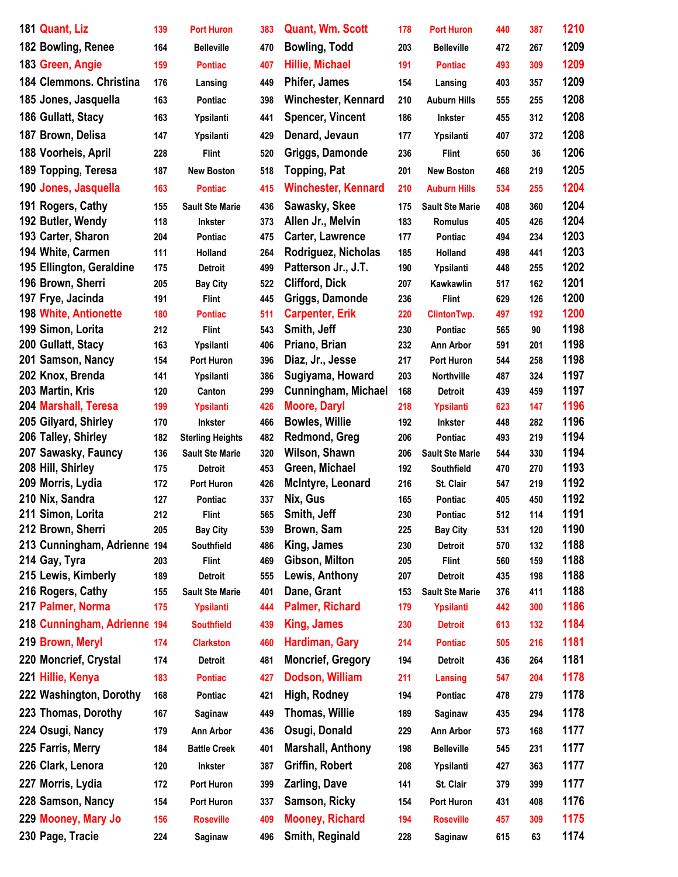| 181 Quant, Liz                       | 139        | <b>Port Huron</b>          | 383        | <b>Quant, Wm. Scott</b>                        | 178        | <b>Port Huron</b>           | 440        | 387        | 1210         |
|--------------------------------------|------------|----------------------------|------------|------------------------------------------------|------------|-----------------------------|------------|------------|--------------|
| 182 Bowling, Renee                   | 164        | <b>Belleville</b>          | 470        | <b>Bowling, Todd</b>                           | 203        | <b>Belleville</b>           | 472        | 267        | 1209         |
| 183 Green, Angie                     | 159        | <b>Pontiac</b>             | 407        | <b>Hillie, Michael</b>                         | 191        | <b>Pontiac</b>              | 493        | 309        | 1209         |
| 184 Clemmons, Christina              | 176        | Lansing                    | 449        | <b>Phifer, James</b>                           | 154        | Lansing                     | 403        | 357        | 1209         |
| 185 Jones, Jasquella                 | 163        | Pontiac                    | 398        | <b>Winchester, Kennard</b>                     | 210        | <b>Auburn Hills</b>         | 555        | 255        | 1208         |
| 186 Gullatt, Stacy                   | 163        |                            | 441        | <b>Spencer, Vincent</b>                        | 186        | <b>Inkster</b>              | 455        | 312        | 1208         |
|                                      |            | Ypsilanti                  |            |                                                |            |                             |            |            |              |
| 187 Brown, Delisa                    | 147        | Ypsilanti                  | 429        | Denard, Jevaun                                 | 177        | Ypsilanti                   | 407        | 372        | 1208         |
| 188 Voorheis, April                  | 228        | <b>Flint</b>               | 520        | Griggs, Damonde                                | 236        | <b>Flint</b>                | 650        | 36         | 1206         |
| 189 Topping, Teresa                  | 187        | <b>New Boston</b>          | 518        | <b>Topping, Pat</b>                            | 201        | <b>New Boston</b>           | 468        | 219        | 1205         |
| 190 Jones, Jasquella                 | 163        | <b>Pontiac</b>             | 415        | <b>Winchester, Kennard</b>                     | 210        | <b>Auburn Hills</b>         | 534        | 255        | 1204         |
| 191 Rogers, Cathy                    | 155        | <b>Sault Ste Marie</b>     | 436        | Sawasky, Skee                                  | 175        | <b>Sault Ste Marie</b>      | 408        | 360        | 1204         |
| 192 Butler, Wendy                    | 118        | <b>Inkster</b>             | 373        | Allen Jr., Melvin                              | 183        | <b>Romulus</b>              | 405        | 426        | 1204         |
| 193 Carter, Sharon                   | 204        | <b>Pontiac</b>             | 475        | Carter, Lawrence                               | 177        | Pontiac                     | 494        | 234        | 1203         |
| 194 White, Carmen                    | 111        | Holland                    | 264        | Rodriguez, Nicholas                            | 185        | Holland                     | 498        | 441        | 1203         |
| 195 Ellington, Geraldine             | 175        | <b>Detroit</b>             | 499        | Patterson Jr., J.T.                            | 190        | Ypsilanti                   | 448        | 255        | 1202         |
| 196 Brown, Sherri                    | 205        | <b>Bay City</b>            | 522        | <b>Clifford, Dick</b>                          | 207        | Kawkawlin                   | 517        | 162        | 1201         |
| 197 Frye, Jacinda                    | 191        | <b>Flint</b>               | 445        | Griggs, Damonde                                | 236        | <b>Flint</b>                | 629        | 126        | 1200         |
| <b>198 White, Antionette</b>         | 180        | <b>Pontiac</b>             | 511        | <b>Carpenter, Erik</b>                         | 220        | <b>ClintonTwp.</b>          | 497        | 192        | 1200         |
| 199 Simon, Lorita                    | 212        | <b>Flint</b>               | 543        | Smith, Jeff                                    | 230        | Pontiac                     | 565        | 90         | 1198         |
| 200 Gullatt, Stacy                   | 163        | Ypsilanti                  | 406        | Priano, Brian                                  | 232        | <b>Ann Arbor</b>            | 591        | 201        | 1198         |
| 201 Samson, Nancy                    | 154        | <b>Port Huron</b>          | 396        | Diaz, Jr., Jesse                               | 217        | Port Huron                  | 544        | 258        | 1198<br>1197 |
| 202 Knox, Brenda<br>203 Martin, Kris | 141        | Ypsilanti                  | 386        | Sugiyama, Howard<br><b>Cunningham, Michael</b> | 203        | <b>Northville</b>           | 487        | 324        | 1197         |
| 204 Marshall, Teresa                 | 120<br>199 | Canton<br><b>Ypsilanti</b> | 299<br>426 | <b>Moore, Daryl</b>                            | 168<br>218 | <b>Detroit</b><br>Ypsilanti | 439<br>623 | 459<br>147 | 1196         |
| 205 Gilyard, Shirley                 | 170        | <b>Inkster</b>             | 466        | <b>Bowles, Willie</b>                          | 192        | <b>Inkster</b>              | 448        | 282        | 1196         |
| 206 Talley, Shirley                  | 182        | <b>Sterling Heights</b>    | 482        | Redmond, Greg                                  | 206        | Pontiac                     | 493        | 219        | 1194         |
| 207 Sawasky, Fauncy                  | 136        | <b>Sault Ste Marie</b>     | 320        | Wilson, Shawn                                  | 206        | <b>Sault Ste Marie</b>      | 544        | 330        | 1194         |
| 208 Hill, Shirley                    | 175        | <b>Detroit</b>             | 453        | Green, Michael                                 | 192        | Southfield                  | 470        | 270        | 1193         |
| 209 Morris, Lydia                    | 172        | <b>Port Huron</b>          | 426        | McIntyre, Leonard                              | 216        | St. Clair                   | 547        | 219        | 1192         |
| 210 Nix, Sandra                      | 127        | Pontiac                    | 337        | Nix, Gus                                       | 165        | Pontiac                     | 405        | 450        | 1192         |
| 211 Simon, Lorita                    | 212        | <b>Flint</b>               | 565        | Smith, Jeff                                    | 230        | Pontiac                     | 512        | 114        | 1191         |
| 212 Brown, Sherri                    | 205        | <b>Bay City</b>            | 539        | Brown, Sam                                     | 225        | <b>Bay City</b>             | 531        | 120        | 1190         |
| 213 Cunningham, Adrienne 194         |            | Southfield                 | 486        | King, James                                    | 230        | <b>Detroit</b>              | 570        | 132        | 1188         |
| 214 Gay, Tyra                        | 203        | <b>Flint</b>               | 469        | Gibson, Milton                                 | 205        | <b>Flint</b>                | 560        | 159        | 1188         |
| 215 Lewis, Kimberly                  | 189        | <b>Detroit</b>             | 555        | Lewis, Anthony                                 | 207        | <b>Detroit</b>              | 435        | 198        | 1188         |
| 216 Rogers, Cathy                    | 155        | <b>Sault Ste Marie</b>     | 401        | Dane, Grant                                    | 153        | <b>Sault Ste Marie</b>      | 376        | 411        | 1188         |
| 217 Palmer, Norma                    | 175        | <b>Ypsilanti</b>           | 444        | <b>Palmer, Richard</b>                         | 179        | Ypsilanti                   | 442        | 300        | 1186         |
| 218 Cunningham, Adrienne 194         |            | <b>Southfield</b>          | 439        | King, James                                    | 230        | <b>Detroit</b>              | 613        | 132        | 1184         |
| 219 Brown, Meryl                     | 174        | <b>Clarkston</b>           | 460        | Hardiman, Gary                                 | 214        | <b>Pontiac</b>              | 505        | 216        | 1181         |
| 220 Moncrief, Crystal                | 174        | Detroit                    | 481        | <b>Moncrief, Gregory</b>                       | 194        | <b>Detroit</b>              | 436        | 264        | 1181         |
| 221 Hillie, Kenya                    | 183        | <b>Pontiac</b>             | 427        | Dodson, William                                | 211        | <b>Lansing</b>              | 547        | 204        | 1178         |
| 222 Washington, Dorothy              | 168        | Pontiac                    | 421        | High, Rodney                                   | 194        | Pontiac                     | 478        | 279        | 1178         |
| 223 Thomas, Dorothy                  | 167        | Saginaw                    | 449        | Thomas, Willie                                 | 189        | Saginaw                     | 435        | 294        | 1178         |
| 224 Osugi, Nancy                     | 179        | Ann Arbor                  | 436        | Osugi, Donald                                  | 229        |                             |            | 168        | 1177         |
|                                      |            |                            |            |                                                |            | <b>Ann Arbor</b>            | 573        |            |              |
| 225 Farris, Merry                    | 184        | <b>Battle Creek</b>        | 401        | <b>Marshall, Anthony</b>                       | 198        | <b>Belleville</b>           | 545        | 231        | 1177         |
| 226 Clark, Lenora                    | 120        | <b>Inkster</b>             | 387        | Griffin, Robert                                | 208        | Ypsilanti                   | 427        | 363        | 1177         |
| 227 Morris, Lydia                    | 172        | Port Huron                 | 399        | <b>Zarling, Dave</b>                           | 141        | St. Clair                   | 379        | 399        | 1177         |
| 228 Samson, Nancy                    | 154        | Port Huron                 | 337        | Samson, Ricky                                  | 154        | Port Huron                  | 431        | 408        | 1176         |
| 229 Mooney, Mary Jo                  | 156        | <b>Roseville</b>           | 409        | <b>Mooney, Richard</b>                         | 194        | <b>Roseville</b>            | 457        | 309        | 1175         |
| 230 Page, Tracie                     | 224        | Saginaw                    | 496        | Smith, Reginald                                | 228        | Saginaw                     | 615        | 63         | 1174         |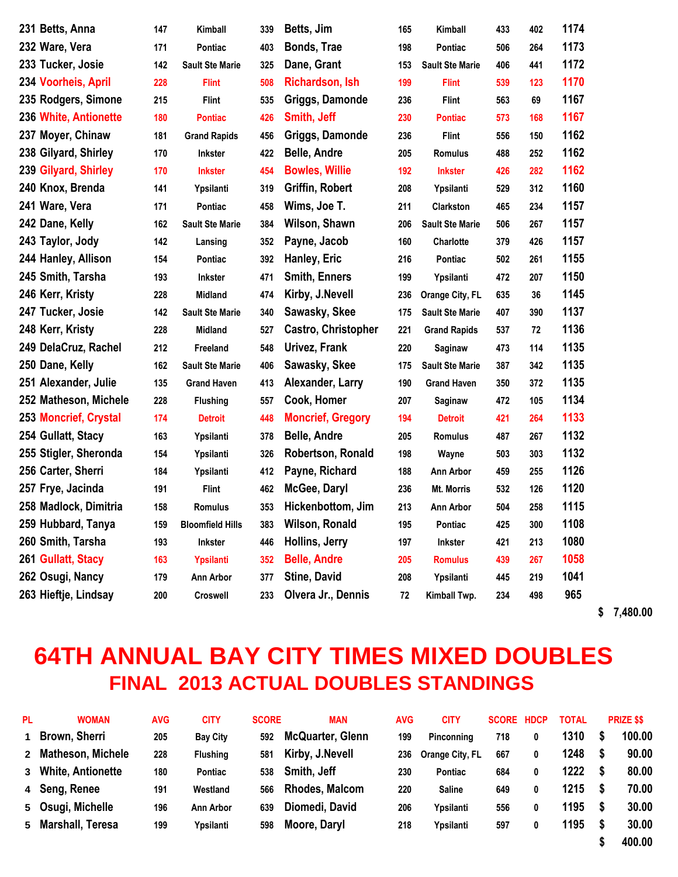| 231 Betts, Anna       | 147 | Kimball                 | 339 | Betts, Jim                 | 165 | Kimball                | 433 | 402 | 1174 |
|-----------------------|-----|-------------------------|-----|----------------------------|-----|------------------------|-----|-----|------|
| 232 Ware, Vera        | 171 | <b>Pontiac</b>          | 403 | Bonds, Trae                | 198 | Pontiac                | 506 | 264 | 1173 |
| 233 Tucker, Josie     | 142 | <b>Sault Ste Marie</b>  | 325 | Dane, Grant                | 153 | <b>Sault Ste Marie</b> | 406 | 441 | 1172 |
| 234 Voorheis, April   | 228 | <b>Flint</b>            | 508 | <b>Richardson, Ish</b>     | 199 | <b>Flint</b>           | 539 | 123 | 1170 |
| 235 Rodgers, Simone   | 215 | <b>Flint</b>            | 535 | Griggs, Damonde            | 236 | <b>Flint</b>           | 563 | 69  | 1167 |
| 236 White, Antionette | 180 | <b>Pontiac</b>          | 426 | Smith, Jeff                | 230 | <b>Pontiac</b>         | 573 | 168 | 1167 |
| 237 Moyer, Chinaw     | 181 | <b>Grand Rapids</b>     | 456 | Griggs, Damonde            | 236 | <b>Flint</b>           | 556 | 150 | 1162 |
| 238 Gilyard, Shirley  | 170 | <b>Inkster</b>          | 422 | <b>Belle, Andre</b>        | 205 | <b>Romulus</b>         | 488 | 252 | 1162 |
| 239 Gilyard, Shirley  | 170 | <b>Inkster</b>          | 454 | <b>Bowles, Willie</b>      | 192 | <b>Inkster</b>         | 426 | 282 | 1162 |
| 240 Knox, Brenda      | 141 | Ypsilanti               | 319 | Griffin, Robert            | 208 | Ypsilanti              | 529 | 312 | 1160 |
| 241 Ware, Vera        | 171 | Pontiac                 | 458 | Wims, Joe T.               | 211 | Clarkston              | 465 | 234 | 1157 |
| 242 Dane, Kelly       | 162 | <b>Sault Ste Marie</b>  | 384 | Wilson, Shawn              | 206 | <b>Sault Ste Marie</b> | 506 | 267 | 1157 |
| 243 Taylor, Jody      | 142 | Lansing                 | 352 | Payne, Jacob               | 160 | Charlotte              | 379 | 426 | 1157 |
| 244 Hanley, Allison   | 154 | Pontiac                 | 392 | Hanley, Eric               | 216 | Pontiac                | 502 | 261 | 1155 |
| 245 Smith, Tarsha     | 193 | Inkster                 | 471 | <b>Smith, Enners</b>       | 199 | Ypsilanti              | 472 | 207 | 1150 |
| 246 Kerr, Kristy      | 228 | Midland                 | 474 | Kirby, J.Nevell            | 236 | Orange City, FL        | 635 | 36  | 1145 |
| 247 Tucker, Josie     | 142 | <b>Sault Ste Marie</b>  | 340 | Sawasky, Skee              | 175 | <b>Sault Ste Marie</b> | 407 | 390 | 1137 |
| 248 Kerr, Kristy      | 228 | Midland                 | 527 | <b>Castro, Christopher</b> | 221 | <b>Grand Rapids</b>    | 537 | 72  | 1136 |
| 249 DelaCruz, Rachel  | 212 | Freeland                | 548 | Urivez, Frank              | 220 | Saginaw                | 473 | 114 | 1135 |
| 250 Dane, Kelly       | 162 | <b>Sault Ste Marie</b>  | 406 | Sawasky, Skee              | 175 | <b>Sault Ste Marie</b> | 387 | 342 | 1135 |
| 251 Alexander, Julie  | 135 | <b>Grand Haven</b>      | 413 | Alexander, Larry           | 190 | <b>Grand Haven</b>     | 350 | 372 | 1135 |
| 252 Matheson, Michele | 228 | <b>Flushing</b>         | 557 | Cook, Homer                | 207 | Saginaw                | 472 | 105 | 1134 |
| 253 Moncrief, Crystal | 174 | <b>Detroit</b>          | 448 | <b>Moncrief, Gregory</b>   | 194 | <b>Detroit</b>         | 421 | 264 | 1133 |
| 254 Gullatt, Stacy    | 163 | Ypsilanti               | 378 | <b>Belle, Andre</b>        | 205 | <b>Romulus</b>         | 487 | 267 | 1132 |
| 255 Stigler, Sheronda | 154 | Ypsilanti               | 326 | Robertson, Ronald          | 198 | Wayne                  | 503 | 303 | 1132 |
| 256 Carter, Sherri    | 184 | Ypsilanti               | 412 | Payne, Richard             | 188 | <b>Ann Arbor</b>       | 459 | 255 | 1126 |
| 257 Frye, Jacinda     | 191 | <b>Flint</b>            | 462 | McGee, Daryl               | 236 | Mt. Morris             | 532 | 126 | 1120 |
| 258 Madlock, Dimitria | 158 | <b>Romulus</b>          | 353 | Hickenbottom, Jim          | 213 | <b>Ann Arbor</b>       | 504 | 258 | 1115 |
| 259 Hubbard, Tanya    | 159 | <b>Bloomfield Hills</b> | 383 | Wilson, Ronald             | 195 | Pontiac                | 425 | 300 | 1108 |
| 260 Smith, Tarsha     | 193 | <b>Inkster</b>          | 446 | Hollins, Jerry             | 197 | Inkster                | 421 | 213 | 1080 |
| 261 Gullatt, Stacy    | 163 | Ypsilanti               | 352 | <b>Belle, Andre</b>        | 205 | <b>Romulus</b>         | 439 | 267 | 1058 |
| 262 Osugi, Nancy      | 179 | Ann Arbor               | 377 | <b>Stine, David</b>        | 208 | Ypsilanti              | 445 | 219 | 1041 |
| 263 Hieftje, Lindsay  | 200 | <b>Croswell</b>         | 233 | Olvera Jr., Dennis         | 72  | Kimball Twp.           | 234 | 498 | 965  |

**\$ 7,480.00**

## **64TH ANNUAL BAY CITY TIMES MIXED DOUBLES FINAL 2013 ACTUAL DOUBLES STANDINGS**

| <b>PL</b> | <b>WOMAN</b>        | AVG | <b>CITY</b>      | <b>SCORE</b> | MAN                     | <b>AVG</b> | <b>CITY</b>       | <b>SCORE HDCP</b> |   | <b>TOTAL</b> |     | <b>PRIZE \$\$</b> |
|-----------|---------------------|-----|------------------|--------------|-------------------------|------------|-------------------|-------------------|---|--------------|-----|-------------------|
|           | 1 Brown, Sherri     | 205 | <b>Bay City</b>  | 592          | <b>McQuarter, Glenn</b> | 199        | <b>Pinconning</b> | 718               | 0 | 1310         | - 5 | 100.00            |
|           | 2 Matheson, Michele | 228 | <b>Flushing</b>  | 581          | Kirby, J.Nevell         | 236        | Orange City, FL   | 667               | 0 | 1248         | - S | 90.00             |
|           | 3 White, Antionette | 180 | <b>Pontiac</b>   | 538          | Smith, Jeff             | 230        | <b>Pontiac</b>    | 684               | 0 | 1222         | - S | 80.00             |
|           | 4 Seng, Renee       | 191 | Westland         | 566          | <b>Rhodes, Malcom</b>   | 220        | <b>Saline</b>     | 649               | 0 | 1215         | - 5 | 70.00             |
|           | 5 Osugi, Michelle   | 196 | <b>Ann Arbor</b> | 639          | Diomedi, David          | 206        | Ypsilanti         | 556               | 0 | 1195         | - S | 30.00             |
|           | 5 Marshall, Teresa  | 199 | Ypsilanti        | 598          | Moore, Daryl            | 218        | Ypsilanti         | 597               | 0 | 1195         |     | 30.00             |
|           |                     |     |                  |              |                         |            |                   |                   |   |              |     | 400.00            |